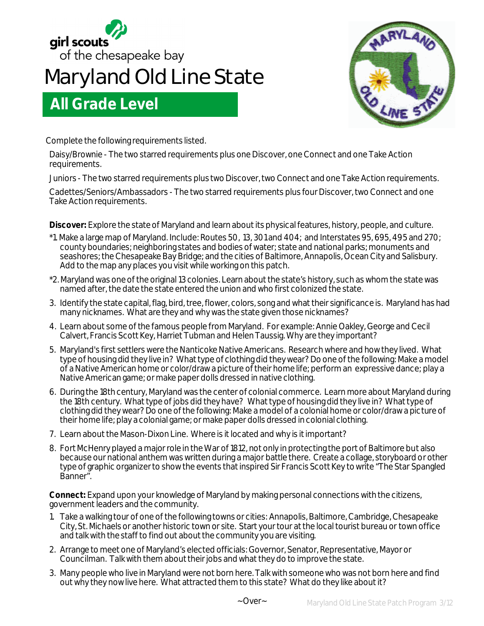

## **Maryland Old Line State**



Complete the following requirements listed.

**All Grade Level** 

Daisy/Brownie - The two starred requirements plus one Discover, one Connect and one Take Action requirements.

Juniors - The two starred requirements plus two Discover, two Connect and one Take Action requirements.

Cadettes/Seniors/Ambassadors - The two starred requirements plus four Discover, two Connect and one Take Action requirements.

**Discover:** Explore the state of Maryland and learn about its physical features, history, people, and culture.

- \*1. Make a large map of Maryland. Include: Routes 50, 13, 301 and 404; and Interstates 95, 695, 495 and 270; county boundaries; neighboring states and bodies of water; state and national parks; monuments and seashores; the Chesapeake Bay Bridge; and the cities of Baltimore, Annapolis, Ocean City and Salisbury. Add to the map any places you visit while working on this patch.
- \*2. Maryland was one of the original 13 colonies. Learn about the state's history, such as whom the state was named after, the date the state entered the union and who first colonized the state.
- 3. Identify the state capital, flag, bird, tree, flower, colors, song and what their significance is. Maryland has had many nicknames. What are they and why was the state given those nicknames?
- 4. Learn about some of the famous people from Maryland. For example: Annie Oakley, George and Cecil Calvert, Francis Scott Key, Harriet Tubman and Helen Taussig. Why are they important?
- 5. Maryland's first settlers were the Nanticoke Native Americans. Research where and how they lived. What type of housing did they live in? What type of clothing did they wear? Do one of the following: Make a model of a Native American home or color/draw a picture of their home life; perform an expressive dance; play a Native American game; or make paper dolls dressed in native clothing.
- 6. During the 18th century, Maryland was the center of colonial commerce. Learn more about Maryland during the 18th century. What type of jobs did they have? What type of housing did they live in? What type of clothing did they wear? Do one of the following: Make a model of a colonial home or color/draw a picture of their home life; play a colonial game; or make paper dolls dressed in colonial clothing.
- 7. Learn about the Mason-Dixon Line. Where is it located and why is it important?
- 8. Fort McHenry played a major role in the War of 1812, not only in protecting the port of Baltimore but also because our national anthem was written during a major battle there. Create a collage, storyboard or other type of graphic organizer to show the events that inspired Sir Francis Scott Key to write "The Star Spangled Banner".

**Connect:** Expand upon your knowledge of Maryland by making personal connections with the citizens, government leaders and the community.

- 1. Take a walking tour of one of the following towns or cities: Annapolis, Baltimore, Cambridge, Chesapeake City, St. Michaels or another historic town or site. Start your tour at the local tourist bureau or town office and talk with the staff to find out about the community you are visiting.
- 2. Arrange to meet one of Maryland's elected officials: Governor, Senator, Representative, Mayor or Councilman. Talk with them about their jobs and what they do to improve the state.
- 3. Many people who live in Maryland were not born here. Talk with someone who was not born here and find out why they now live here. What attracted them to this state? What do they like about it?